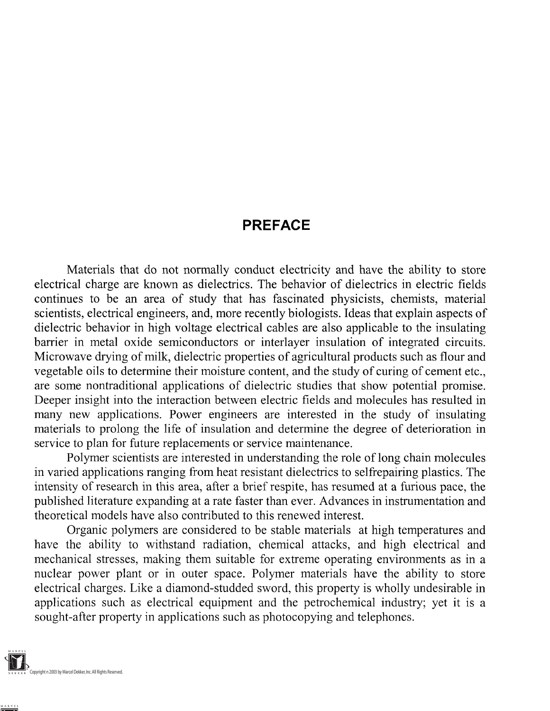## **PREFACE**

Materials that do not normally conduct electricity and have the ability to store electrical charge are known as dielectrics. The behavior of dielectrics in electric fields continues to be an area of study that has fascinated physicists, chemists, material scientists, electrical engineers, and, more recently biologists. Ideas that explain aspects of dielectric behavior in high voltage electrical cables are also applicable to the insulating barrier in metal oxide semiconductors or interlayer insulation of integrated circuits. Microwave drying of milk, dielectric properties of agricultural products such as flour and vegetable oils to determine their moisture content, and the study of curing of cement etc., are some nontraditional applications of dielectric studies that show potential promise. Deeper insight into the interaction between electric fields and molecules has resulted in many new applications. Power engineers are interested in the study of insulating materials to prolong the life of insulation and determine the degree of deterioration in service to plan for future replacements or service maintenance.

Polymer scientists are interested in understanding the role of long chain molecules in varied applications ranging from heat resistant dielectrics to selfrepairing plastics. The intensity of research in this area, after a brief respite, has resumed at a furious pace, the published literature expanding at a rate faster than ever. Advances in instrumentation and theoretical models have also contributed to this renewed interest.

Organic polymers are considered to be stable materials at high temperatures and have the ability to withstand radiation, chemical attacks, and high electrical and mechanical stresses, making them suitable for extreme operating environments as in a nuclear power plant or in outer space. Polymer materials have the ability to store electrical charges. Like a diamond-studded sword, this property is wholly undesirable in applications such as electrical equipment and the petrochemical industry; yet it is a sought-after property in applications such as photocopying and telephones.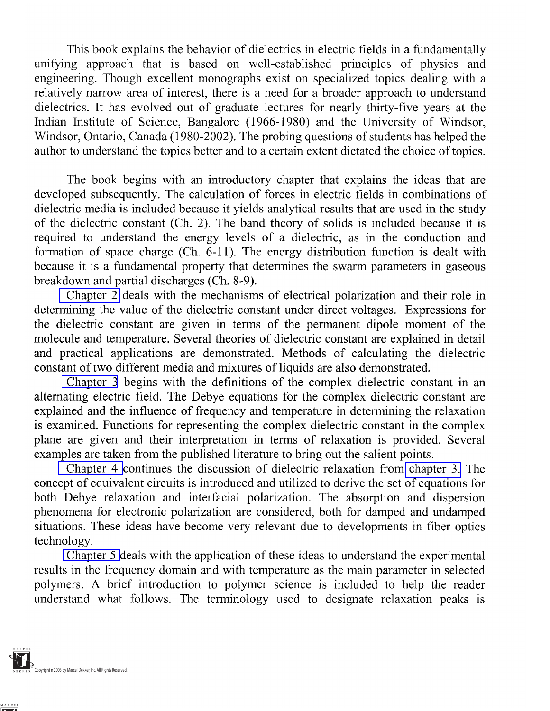This book explains the behavior of dielectrics in electric fields in a fundamentally unifying approach that is based on well-established principles of physics and engineering. Though excellent monographs exist on specialized topics dealing with a relatively narrow area of interest, there is a need for a broader approach to understand dielectrics. It has evolved out of graduate lectures for nearly thirty-five years at the Indian Institute of Science, Bangalore (1966-1980) and the University of Windsor, Windsor, Ontario, Canada (1980-2002). The probing questions of students has helped the author to understand the topics better and to a certain extent dictated the choice of topics.

The book begins with an introductory chapter that explains the ideas that are developed subsequently. The calculation of forces in electric fields in combinations of dielectric media is included because it yields analytical results that are used in the study of the dielectric constant (Ch. 2). The band theory of solids is included because it is required to understand the energy levels of a dielectric, as in the conduction and formation of space charge (Ch. 6-11). The energy distribution function is dealt with because it is a fundamental property that determines the swarm parameters in gaseous breakdown and partial discharges (Ch. 8-9).

Chapter 2 deals with the mechanisms of electrical polarization and their role in determining the value of the dielectric constant under direct voltages. Expressions for the dielectric constant are given in terms of the permanent dipole moment of the molecule and temperature. Several theories of dielectric constant are explained in detail and practical applications are demonstrated. Methods of calculating the dielectric constant of two different media and mixtures of liquids are also demonstrated.

Chapter 3 begins with the definitions of the complex dielectric constant in an alternating electric field. The Debye equations for the complex dielectric constant are explained and the influence of frequency and temperature in determining the relaxation is examined. Functions for representing the complex dielectric constant in the complex plane are given and their interpretation in terms of relaxation is provided. Several examples are taken from the published literature to bring out the salient points.

Chapter 4 continues the discussion of dielectric relaxation from chapter 3. The concept of equivalent circuits is introduced and utilized to derive the set of equations for both Debye relaxation and interfacial polarization. The absorption and dispersion phenomena for electronic polarization are considered, both for damped and undamped situations. These ideas have become very relevant due to developments in fiber optics technology.

Chapter 5 deals with the application of these ideas to understand the experimental results in the frequency domain and with temperature as the main parameter in selected polymers. A brief introduction to polymer science is included to help the reader understand what follows. The terminology used to designate relaxation peaks is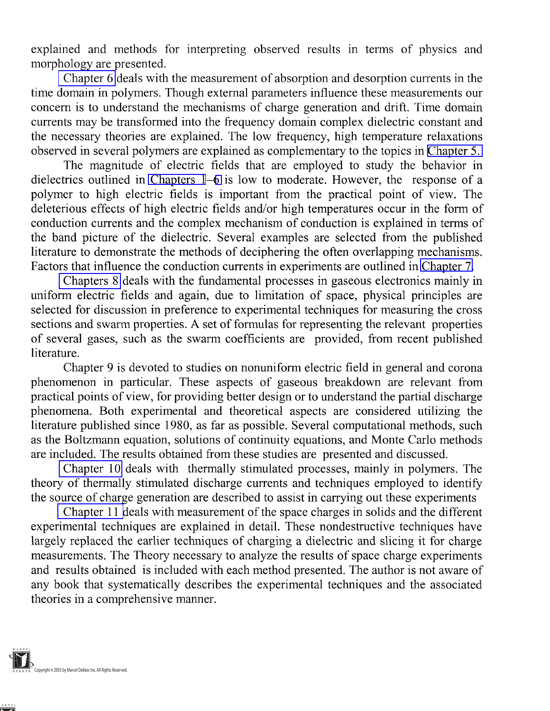explained and methods for interpreting observed results in terms of physics and morphology are presented.

Chapter 6 deals with the measurement of absorption and desorption currents in the time domain in polymers. Though external parameters influence these measurements our concern is to understand the mechanisms of charge generation and drift. Time domain currents may be transformed into the frequency domain complex dielectric constant and the necessary theories are explained. The low frequency, high temperature relaxations observed in several polymers are explained as complementary to the topics in Chapter 5.

The magnitude of electric fields that are employed to study the behavior in dielectrics outlined in Chapters 1-6 is low to moderate. However, the response of a polymer to high electric fields is important from the practical point of view. The deleterious effects of high electric fields and/or high temperatures occur in the form of conduction currents and the complex mechanism of conduction is explained in terms of the band picture of the dielectric. Several examples are selected from the published literature to demonstrate the methods of deciphering the often overlapping mechanisms. Factors that influence the conduction currents in experiments are outlined in Chapter 7.

Chapters 8 deals with the fundamental processes in gaseous electronics mainly in uniform electric fields and again, due to limitation of space, physical principles are selected for discussion in preference to experimental techniques for measuring the cross sections and swarm properties. A set of formulas for representing the relevant properties of several gases, such as the swarm coefficients are provided, from recent published literature.

Chapter 9 is devoted to studies on nonuniform electric field in general and corona phenomenon in particular. These aspects of gaseous breakdown are relevant from practical points of view, for providing better design or to understand the partial discharge phenomena. Both experimental and theoretical aspects are considered utilizing the literature published since 1980, as far as possible. Several computational methods, such as the Boltzmann equation, solutions of continuity equations, and Monte Carlo methods are included. The results obtained from these studies are presented and discussed.

Chapter 10 deals with thermally stimulated processes, mainly in polymers. The theory of thermally stimulated discharge currents and techniques employed to identify the source of charge generation are described to assist in carrying out these experiments

Chapter 11 deals with measurement of the space charges in solids and the different experimental techniques are explained in detail. These nondestructive techniques have largely replaced the earlier techniques of charging a dielectric and slicing it for charge measurements. The Theory necessary to analyze the results of space charge experiments and results obtained is included with each method presented. The author is not aware of any book that systematically describes the experimental techniques and the associated theories in a comprehensive manner.